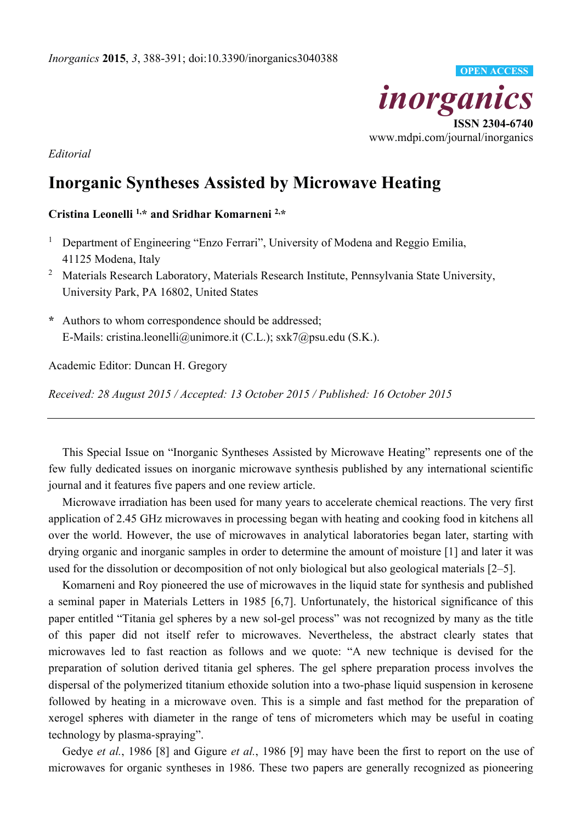

*Editorial* 

## **Inorganic Syntheses Assisted by Microwave Heating**

## **Cristina Leonelli 1,\* and Sridhar Komarneni 2,\***

- 1 Department of Engineering "Enzo Ferrari", University of Modena and Reggio Emilia, 41125 Modena, Italy
- <sup>2</sup> Materials Research Laboratory, Materials Research Institute, Pennsylvania State University, University Park, PA 16802, United States
- **\*** Authors to whom correspondence should be addressed; E-Mails: cristina.leonelli@unimore.it (C.L.); sxk7@psu.edu (S.K.).

Academic Editor: Duncan H. Gregory

*Received: 28 August 2015 / Accepted: 13 October 2015 / Published: 16 October 2015* 

This Special Issue on "Inorganic Syntheses Assisted by Microwave Heating" represents one of the few fully dedicated issues on inorganic microwave synthesis published by any international scientific journal and it features five papers and one review article.

Microwave irradiation has been used for many years to accelerate chemical reactions. The very first application of 2.45 GHz microwaves in processing began with heating and cooking food in kitchens all over the world. However, the use of microwaves in analytical laboratories began later, starting with drying organic and inorganic samples in order to determine the amount of moisture [1] and later it was used for the dissolution or decomposition of not only biological but also geological materials [2–5].

Komarneni and Roy pioneered the use of microwaves in the liquid state for synthesis and published a seminal paper in Materials Letters in 1985 [6,7]. Unfortunately, the historical significance of this paper entitled "Titania gel spheres by a new sol-gel process" was not recognized by many as the title of this paper did not itself refer to microwaves. Nevertheless, the abstract clearly states that microwaves led to fast reaction as follows and we quote: "A new technique is devised for the preparation of solution derived titania gel spheres. The gel sphere preparation process involves the dispersal of the polymerized titanium ethoxide solution into a two-phase liquid suspension in kerosene followed by heating in a microwave oven. This is a simple and fast method for the preparation of xerogel spheres with diameter in the range of tens of micrometers which may be useful in coating technology by plasma-spraying".

Gedye *et al.*, 1986 [8] and Gigure *et al.*, 1986 [9] may have been the first to report on the use of microwaves for organic syntheses in 1986. These two papers are generally recognized as pioneering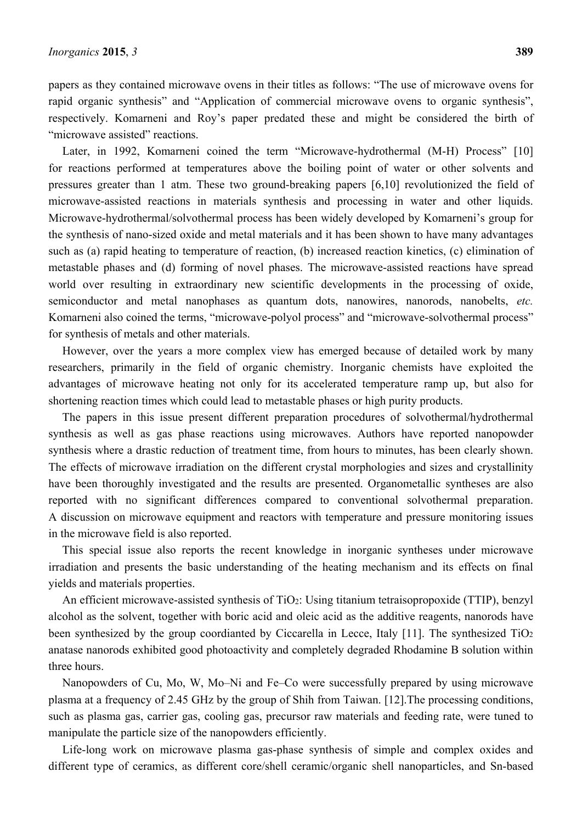papers as they contained microwave ovens in their titles as follows: "The use of microwave ovens for rapid organic synthesis" and "Application of commercial microwave ovens to organic synthesis", respectively. Komarneni and Roy's paper predated these and might be considered the birth of "microwave assisted" reactions.

Later, in 1992, Komarneni coined the term "Microwave-hydrothermal (M-H) Process" [10] for reactions performed at temperatures above the boiling point of water or other solvents and pressures greater than 1 atm. These two ground-breaking papers [6,10] revolutionized the field of microwave-assisted reactions in materials synthesis and processing in water and other liquids. Microwave-hydrothermal/solvothermal process has been widely developed by Komarneni's group for the synthesis of nano-sized oxide and metal materials and it has been shown to have many advantages such as (a) rapid heating to temperature of reaction, (b) increased reaction kinetics, (c) elimination of metastable phases and (d) forming of novel phases. The microwave-assisted reactions have spread world over resulting in extraordinary new scientific developments in the processing of oxide, semiconductor and metal nanophases as quantum dots, nanowires, nanorods, nanobelts, *etc.* Komarneni also coined the terms, "microwave-polyol process" and "microwave-solvothermal process" for synthesis of metals and other materials.

However, over the years a more complex view has emerged because of detailed work by many researchers, primarily in the field of organic chemistry. Inorganic chemists have exploited the advantages of microwave heating not only for its accelerated temperature ramp up, but also for shortening reaction times which could lead to metastable phases or high purity products.

The papers in this issue present different preparation procedures of solvothermal/hydrothermal synthesis as well as gas phase reactions using microwaves. Authors have reported nanopowder synthesis where a drastic reduction of treatment time, from hours to minutes, has been clearly shown. The effects of microwave irradiation on the different crystal morphologies and sizes and crystallinity have been thoroughly investigated and the results are presented. Organometallic syntheses are also reported with no significant differences compared to conventional solvothermal preparation. A discussion on microwave equipment and reactors with temperature and pressure monitoring issues in the microwave field is also reported.

This special issue also reports the recent knowledge in inorganic syntheses under microwave irradiation and presents the basic understanding of the heating mechanism and its effects on final yields and materials properties.

An efficient microwave-assisted synthesis of TiO<sub>2</sub>: Using titanium tetraisopropoxide (TTIP), benzyl alcohol as the solvent, together with boric acid and oleic acid as the additive reagents, nanorods have been synthesized by the group coordianted by Ciccarella in Lecce, Italy [11]. The synthesized TiO<sub>2</sub> anatase nanorods exhibited good photoactivity and completely degraded Rhodamine B solution within three hours.

Nanopowders of Cu, Mo, W, Mo–Ni and Fe–Co were successfully prepared by using microwave plasma at a frequency of 2.45 GHz by the group of Shih from Taiwan. [12].The processing conditions, such as plasma gas, carrier gas, cooling gas, precursor raw materials and feeding rate, were tuned to manipulate the particle size of the nanopowders efficiently.

Life-long work on microwave plasma gas-phase synthesis of simple and complex oxides and different type of ceramics, as different core/shell ceramic/organic shell nanoparticles, and Sn-based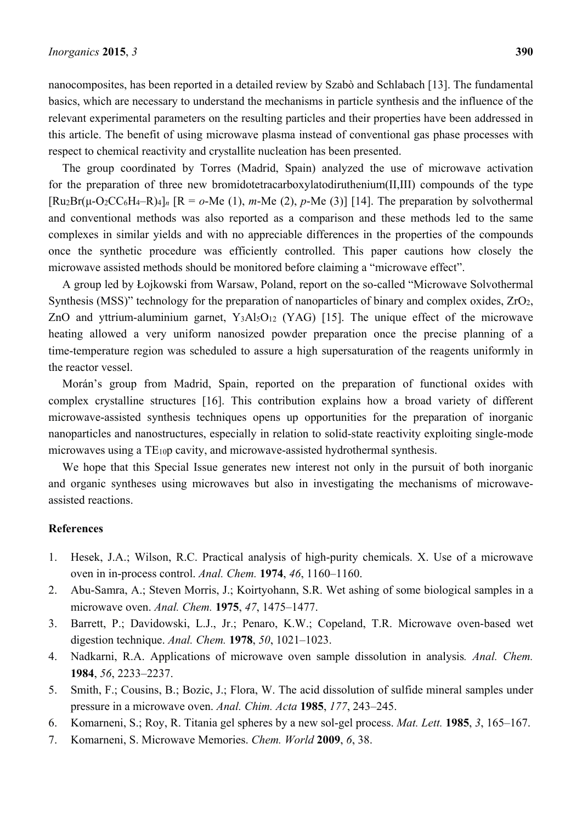nanocomposites, has been reported in a detailed review by Szabò and Schlabach [13]. The fundamental basics, which are necessary to understand the mechanisms in particle synthesis and the influence of the relevant experimental parameters on the resulting particles and their properties have been addressed in this article. The benefit of using microwave plasma instead of conventional gas phase processes with respect to chemical reactivity and crystallite nucleation has been presented.

The group coordinated by Torres (Madrid, Spain) analyzed the use of microwave activation for the preparation of three new bromidotetracarboxylatodiruthenium(II,III) compounds of the type  $[Ru_2Br(u-O_2CC_6H_4-R)_4]$ <sub>n</sub>  $[R = o-Me(1), m-Me(2), p-Me(3)]$  [14]. The preparation by solvothermal and conventional methods was also reported as a comparison and these methods led to the same complexes in similar yields and with no appreciable differences in the properties of the compounds once the synthetic procedure was efficiently controlled. This paper cautions how closely the microwave assisted methods should be monitored before claiming a "microwave effect".

A group led by Łojkowski from Warsaw, Poland, report on the so-called "Microwave Solvothermal Synthesis (MSS)" technology for the preparation of nanoparticles of binary and complex oxides, ZrO2, ZnO and yttrium-aluminium garnet, Y<sub>3</sub>Al<sub>5</sub>O<sub>12</sub> (YAG) [15]. The unique effect of the microwave heating allowed a very uniform nanosized powder preparation once the precise planning of a time-temperature region was scheduled to assure a high supersaturation of the reagents uniformly in the reactor vessel.

Morán's group from Madrid, Spain, reported on the preparation of functional oxides with complex crystalline structures [16]. This contribution explains how a broad variety of different microwave-assisted synthesis techniques opens up opportunities for the preparation of inorganic nanoparticles and nanostructures, especially in relation to solid-state reactivity exploiting single-mode microwaves using a TE10p cavity, and microwave-assisted hydrothermal synthesis.

We hope that this Special Issue generates new interest not only in the pursuit of both inorganic and organic syntheses using microwaves but also in investigating the mechanisms of microwaveassisted reactions.

## **References**

- 1. Hesek, J.A.; Wilson, R.C. Practical analysis of high-purity chemicals. X. Use of a microwave oven in in-process control. *Anal. Chem.* **1974**, *46*, 1160–1160.
- 2. Abu-Samra, A.; Steven Morris, J.; Koirtyohann, S.R. Wet ashing of some biological samples in a microwave oven. *Anal. Chem.* **1975**, *47*, 1475–1477.
- 3. Barrett, P.; Davidowski, L.J., Jr.; Penaro, K.W.; Copeland, T.R. Microwave oven-based wet digestion technique. *Anal. Chem.* **1978**, *50*, 1021–1023.
- 4. Nadkarni, R.A. Applications of microwave oven sample dissolution in analysis*. Anal. Chem.*  **1984**, *56*, 2233–2237.
- 5. Smith, F.; Cousins, B.; Bozic, J.; Flora, W. The acid dissolution of sulfide mineral samples under pressure in a microwave oven. *Anal. Chim. Acta* **1985**, *177*, 243–245.
- 6. Komarneni, S.; Roy, R. Titania gel spheres by a new sol-gel process. *Mat. Lett.* **1985**, *3*, 165–167.
- 7. Komarneni, S. Microwave Memories. *Chem. World* **2009**, *6*, 38.